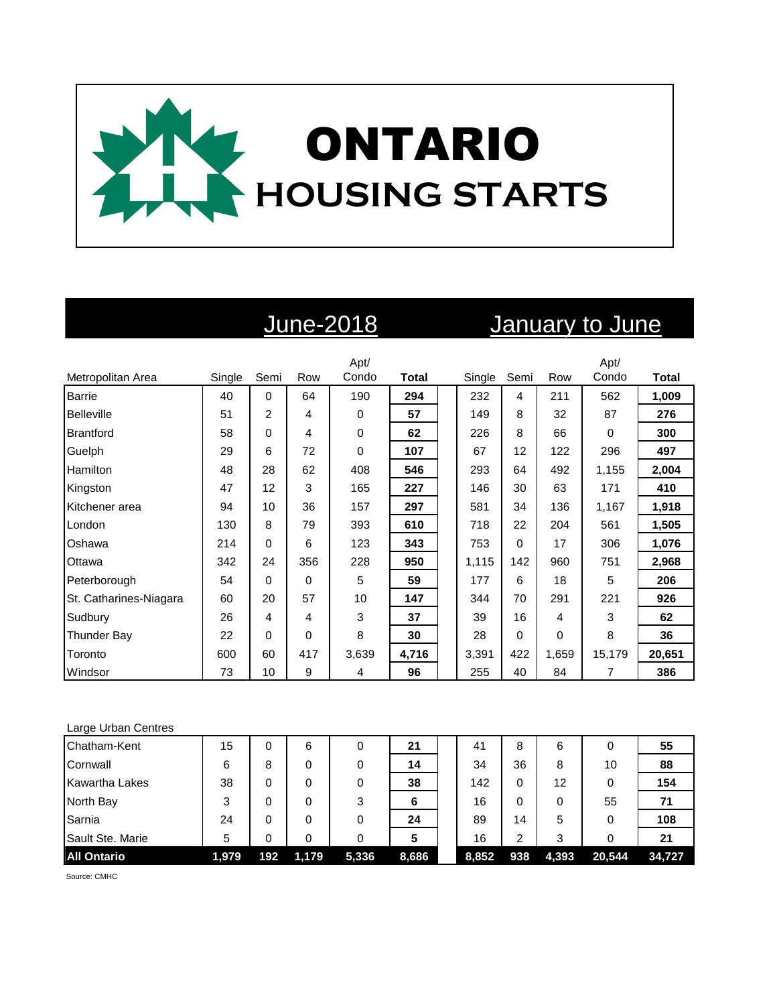

# June-2018 January to June

|                        |        |      |     | Apt/  |              |        |          |          | Apt/     |              |
|------------------------|--------|------|-----|-------|--------------|--------|----------|----------|----------|--------------|
| Metropolitan Area      | Single | Semi | Row | Condo | <b>Total</b> | Single | Semi     | Row      | Condo    | <b>Total</b> |
| <b>Barrie</b>          | 40     | 0    | 64  | 190   | 294          | 232    | 4        | 211      | 562      | 1,009        |
| <b>Belleville</b>      | 51     | 2    | 4   | 0     | 57           | 149    | 8        | 32       | 87       | 276          |
| <b>Brantford</b>       | 58     | 0    | 4   | 0     | 62           | 226    | 8        | 66       | $\Omega$ | 300          |
| Guelph                 | 29     | 6    | 72  | 0     | 107          | 67     | 12       | 122      | 296      | 497          |
| Hamilton               | 48     | 28   | 62  | 408   | 546          | 293    | 64       | 492      | 1,155    | 2,004        |
| Kingston               | 47     | 12   | 3   | 165   | 227          | 146    | 30       | 63       | 171      | 410          |
| Kitchener area         | 94     | 10   | 36  | 157   | 297          | 581    | 34       | 136      | 1,167    | 1,918        |
| London                 | 130    | 8    | 79  | 393   | 610          | 718    | 22       | 204      | 561      | 1,505        |
| Oshawa                 | 214    | 0    | 6   | 123   | 343          | 753    | 0        | 17       | 306      | 1,076        |
| Ottawa                 | 342    | 24   | 356 | 228   | 950          | 1,115  | 142      | 960      | 751      | 2,968        |
| Peterborough           | 54     | 0    | 0   | 5     | 59           | 177    | 6        | 18       | 5        | 206          |
| St. Catharines-Niagara | 60     | 20   | 57  | 10    | 147          | 344    | 70       | 291      | 221      | 926          |
| Sudbury                | 26     | 4    | 4   | 3     | 37           | 39     | 16       | 4        | 3        | 62           |
| <b>Thunder Bay</b>     | 22     | 0    | 0   | 8     | 30           | 28     | $\Omega$ | $\Omega$ | 8        | 36           |
| Toronto                | 600    | 60   | 417 | 3,639 | 4,716        | 3,391  | 422      | 1,659    | 15,179   | 20,651       |
| Windsor                | 73     | 10   | 9   | 4     | 96           | 255    | 40       | 84       | 7        | 386          |

### Large Urban Centres

| Chatham-Kent          | 15    | 0   | 6     | 0     | 21    | 41    | 8   | 6     |        | 55     |
|-----------------------|-------|-----|-------|-------|-------|-------|-----|-------|--------|--------|
| Cornwall              | 6     | 8   | 0     | 0     | 14    | 34    | 36  | 8     | 10     | 88     |
| <b>Kawartha Lakes</b> | 38    | 0   | 0     | 0     | 38    | 142   | 0   | 12    |        | 154    |
| North Bay             | 3     | 0   |       | 3     | 6     | 16    | 0   | 0     | 55     | 71     |
| Sarnia                | 24    | 0   | 0     |       | 24    | 89    | 14  | 5     |        | 108    |
| Sault Ste. Marie      | 5     | 0   |       | 0     | 5     | 16    | ົ   | 3     |        | 21     |
| <b>All Ontario</b>    | 1,979 | 192 | 1,179 | 5,336 | 8,686 | 8,852 | 938 | 4,393 | 20,544 | 34.727 |

Source: CMHC